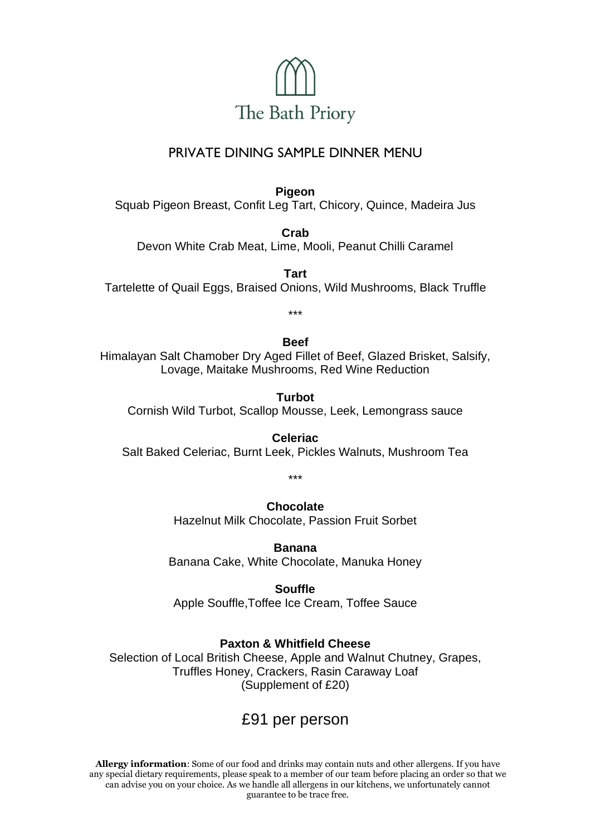

# PRIVATE DINING SAMPLE DINNER MENU

**Pigeon**

Squab Pigeon Breast, Confit Leg Tart, Chicory, Quince, Madeira Jus

**Crab** Devon White Crab Meat, Lime, Mooli, Peanut Chilli Caramel

**Tart** Tartelette of Quail Eggs, Braised Onions, Wild Mushrooms, Black Truffle

\*\*\*

### **Beef**

Himalayan Salt Chamober Dry Aged Fillet of Beef, Glazed Brisket, Salsify, Lovage, Maitake Mushrooms, Red Wine Reduction

**Turbot** Cornish Wild Turbot, Scallop Mousse, Leek, Lemongrass sauce

**Celeriac** Salt Baked Celeriac, Burnt Leek, Pickles Walnuts, Mushroom Tea

\*\*\*

## **Chocolate**

Hazelnut Milk Chocolate, Passion Fruit Sorbet

**Banana** 

Banana Cake, White Chocolate, Manuka Honey

### **Souffle**

Apple Souffle,Toffee Ice Cream, Toffee Sauce

### **Paxton & Whitfield Cheese**

Selection of Local British Cheese, Apple and Walnut Chutney, Grapes, Truffles Honey, Crackers, Rasin Caraway Loaf (Supplement of £20)

# £91 per person

**Allergy information**: Some of our food and drinks may contain nuts and other allergens. If you have any special dietary requirements, please speak to a member of our team before placing an order so that we can advise you on your choice. As we handle all allergens in our kitchens, we unfortunately cannot guarantee to be trace free.